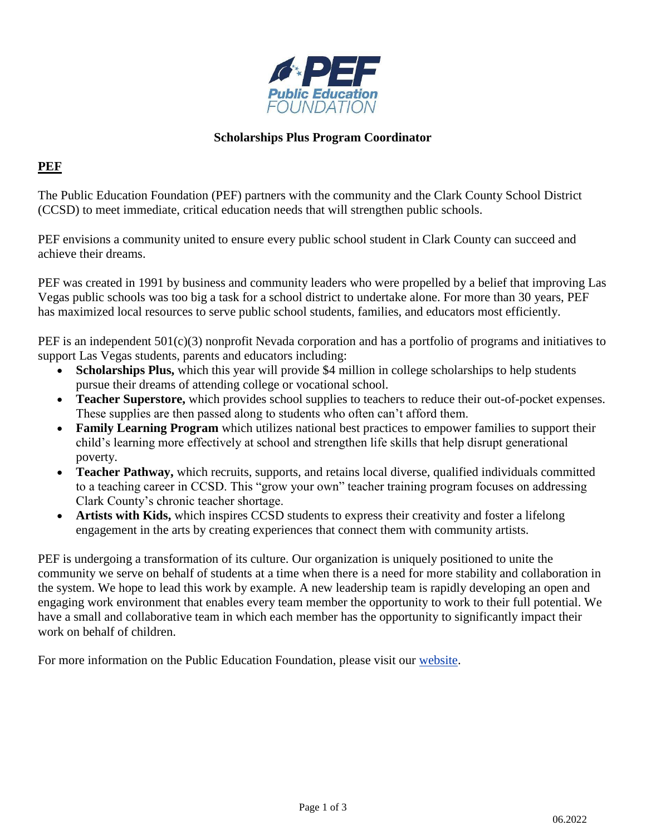

## **Scholarships Plus Program Coordinator**

## **PEF**

The Public Education Foundation (PEF) partners with the community and the Clark County School District (CCSD) to meet immediate, critical education needs that will strengthen public schools.

PEF envisions a community united to ensure every public school student in Clark County can succeed and achieve their dreams.

PEF was created in 1991 by business and community leaders who were propelled by a belief that improving Las Vegas public schools was too big a task for a school district to undertake alone. For more than 30 years, PEF has maximized local resources to serve public school students, families, and educators most efficiently.

PEF is an independent 501(c)(3) nonprofit Nevada corporation and has a portfolio of programs and initiatives to support Las Vegas students, parents and educators including:

- **Scholarships Plus,** which this year will provide \$4 million in college scholarships to help students pursue their dreams of attending college or vocational school.
- **Teacher Superstore,** which provides school supplies to teachers to reduce their out-of-pocket expenses. These supplies are then passed along to students who often can't afford them.
- **Family Learning Program** which utilizes national best practices to empower families to support their child's learning more effectively at school and strengthen life skills that help disrupt generational poverty.
- **Teacher Pathway,** which recruits, supports, and retains local diverse, qualified individuals committed to a teaching career in CCSD. This "grow your own" teacher training program focuses on addressing Clark County's chronic teacher shortage.
- **Artists with Kids,** which inspires CCSD students to express their creativity and foster a lifelong engagement in the arts by creating experiences that connect them with community artists.

PEF is undergoing a transformation of its culture. Our organization is uniquely positioned to unite the community we serve on behalf of students at a time when there is a need for more stability and collaboration in the system. We hope to lead this work by example. A new leadership team is rapidly developing an open and engaging work environment that enables every team member the opportunity to work to their full potential. We have a small and collaborative team in which each member has the opportunity to significantly impact their work on behalf of children.

For more information on the Public Education Foundation, please visit our [website.](https://thepef.org/)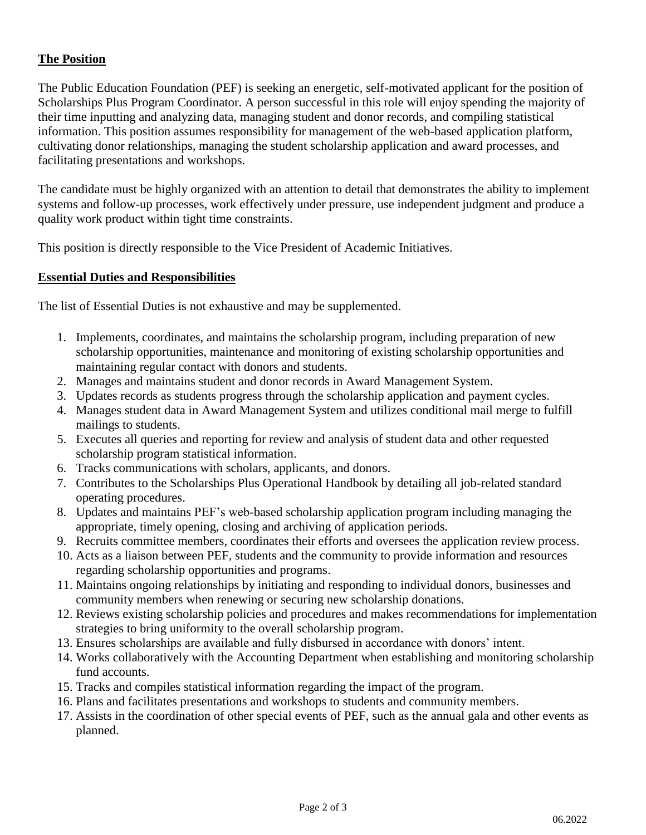# **The Position**

The Public Education Foundation (PEF) is seeking an energetic, self-motivated applicant for the position of Scholarships Plus Program Coordinator. A person successful in this role will enjoy spending the majority of their time inputting and analyzing data, managing student and donor records, and compiling statistical information. This position assumes responsibility for management of the web-based application platform, cultivating donor relationships, managing the student scholarship application and award processes, and facilitating presentations and workshops.

The candidate must be highly organized with an attention to detail that demonstrates the ability to implement systems and follow-up processes, work effectively under pressure, use independent judgment and produce a quality work product within tight time constraints.

This position is directly responsible to the Vice President of Academic Initiatives.

### **Essential Duties and Responsibilities**

The list of Essential Duties is not exhaustive and may be supplemented.

- 1. Implements, coordinates, and maintains the scholarship program, including preparation of new scholarship opportunities, maintenance and monitoring of existing scholarship opportunities and maintaining regular contact with donors and students.
- 2. Manages and maintains student and donor records in Award Management System.
- 3. Updates records as students progress through the scholarship application and payment cycles.
- 4. Manages student data in Award Management System and utilizes conditional mail merge to fulfill mailings to students.
- 5. Executes all queries and reporting for review and analysis of student data and other requested scholarship program statistical information.
- 6. Tracks communications with scholars, applicants, and donors.
- 7. Contributes to the Scholarships Plus Operational Handbook by detailing all job-related standard operating procedures.
- 8. Updates and maintains PEF's web-based scholarship application program including managing the appropriate, timely opening, closing and archiving of application periods.
- 9. Recruits committee members, coordinates their efforts and oversees the application review process.
- 10. Acts as a liaison between PEF, students and the community to provide information and resources regarding scholarship opportunities and programs.
- 11. Maintains ongoing relationships by initiating and responding to individual donors, businesses and community members when renewing or securing new scholarship donations.
- 12. Reviews existing scholarship policies and procedures and makes recommendations for implementation strategies to bring uniformity to the overall scholarship program.
- 13. Ensures scholarships are available and fully disbursed in accordance with donors' intent.
- 14. Works collaboratively with the Accounting Department when establishing and monitoring scholarship fund accounts.
- 15. Tracks and compiles statistical information regarding the impact of the program.
- 16. Plans and facilitates presentations and workshops to students and community members.
- 17. Assists in the coordination of other special events of PEF, such as the annual gala and other events as planned.